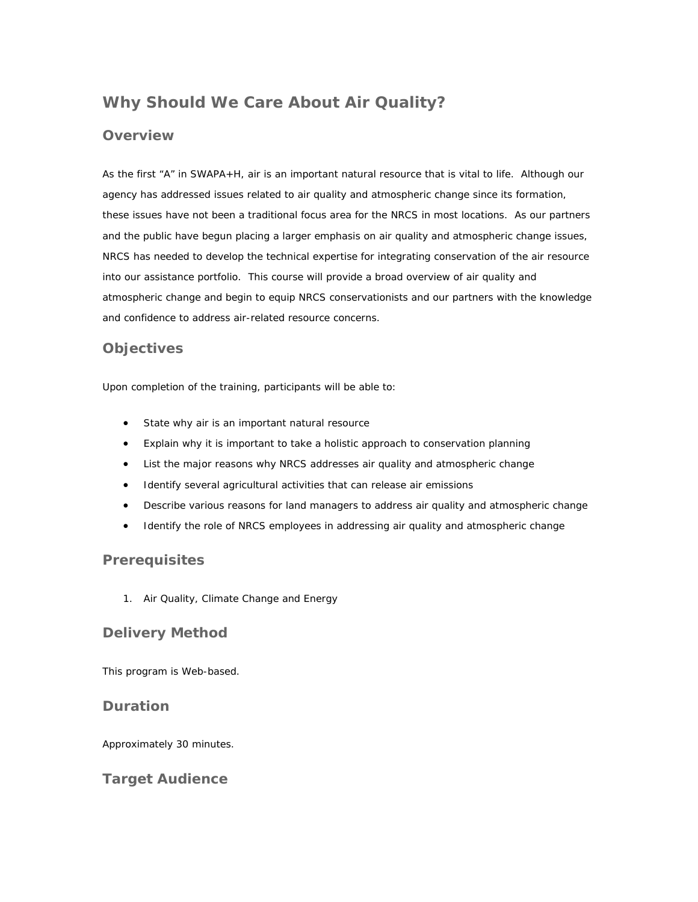# **Why Should We Care About Air Quality?**

## **Overview**

As the first "A" in SWAPA+H, air is an important natural resource that is vital to life. Although our agency has addressed issues related to air quality and atmospheric change since its formation, these issues have not been a traditional focus area for the NRCS in most locations. As our partners and the public have begun placing a larger emphasis on air quality and atmospheric change issues, NRCS has needed to develop the technical expertise for integrating conservation of the air resource into our assistance portfolio. This course will provide a broad overview of air quality and atmospheric change and begin to equip NRCS conservationists and our partners with the knowledge and confidence to address air-related resource concerns.

# **Objectives**

Upon completion of the training, participants will be able to:

- State why air is an important natural resource
- Explain why it is important to take a holistic approach to conservation planning
- List the major reasons why NRCS addresses air quality and atmospheric change
- Identify several agricultural activities that can release air emissions
- Describe various reasons for land managers to address air quality and atmospheric change
- Identify the role of NRCS employees in addressing air quality and atmospheric change

### **Prerequisites**

1. Air Quality, Climate Change and Energy

# **Delivery Method**

This program is Web-based.

### **Duration**

Approximately 30 minutes.

# **Target Audience**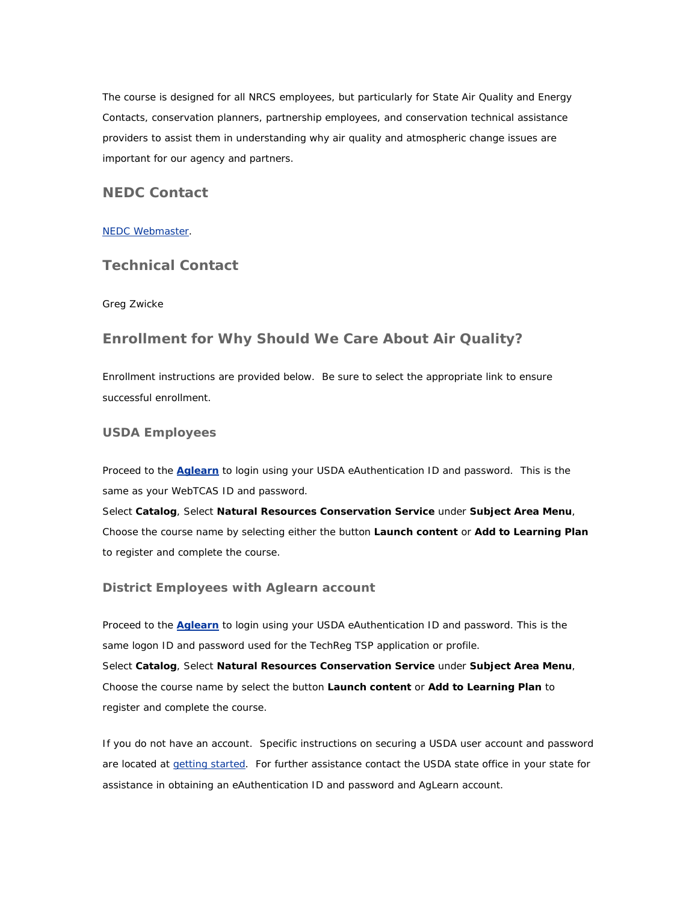The course is designed for all NRCS employees, but particularly for State Air Quality and Energy Contacts, conservation planners, partnership employees, and conservation technical assistance providers to assist them in understanding why air quality and atmospheric change issues are important for our agency and partners.

# **NEDC Contact**

#### [NEDC Webmaster.](mailto:sudha.sriparameswara@ftw.usda.gov)

### **Technical Contact**

#### Greg Zwicke

### **Enrollment for Why Should We Care About Air Quality?**

Enrollment instructions are provided below. Be sure to select the appropriate link to ensure successful enrollment.

#### **USDA Employees**

Proceed to the **[Aglearn](http://www.aglearn.usda.gov/)** to login using your USDA eAuthentication ID and password. This is the same as your WebTCAS ID and password.

Select **Catalog**, Select **Natural Resources Conservation Service** under **Subject Area Menu**, Choose the course name by selecting either the button **Launch content** or **Add to Learning Plan** to register and complete the course.

#### **District Employees with Aglearn account**

Proceed to the **[Aglearn](http://www.aglearn.usda.gov/)** to login using your USDA eAuthentication ID and password. This is the same logon ID and password used for the TechReg TSP application or profile. Select **Catalog**, Select **Natural Resources Conservation Service** under **Subject Area Menu**, Choose the course name by select the button **Launch content** or **Add to Learning Plan** to register and complete the course.

If you do not have an account. Specific instructions on securing a USDA user account and password are located at [getting started](http://forms.sc.egov.usda.gov/eforms/Help/whyregister.html). For further assistance contact the USDA state office in your state for assistance in obtaining an eAuthentication ID and password and AgLearn account.